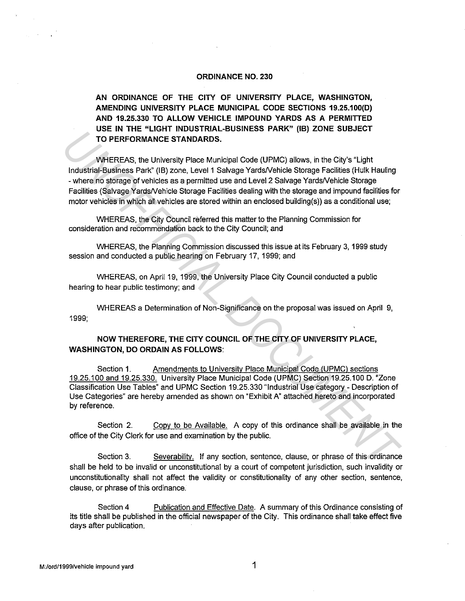#### **ORDINANCE NO. 230**

**AN ORDINANCE OF THE CITY OF UNIVERSITY PLACE, WASHINGTON, AMENDING UNIVERSITY PLACE MUNICIPAL CODE SECTIONS 19.25.100(D) AND 19.25.330 TO ALLOW VEHICLE IMPOUND YARDS AS A PERMITTED USE IN THE "LIGHT INDUSTRIAL-BUSINESS PARK" (IB) ZONE SUBJECT TO PERFORMANCE STANDARDS.** 

WHEREAS, the University Place Municipal Code (UPMC) allows, in the City's "Light Industrial-Business Park" (18) zone, Level 1 Salvage YardsNehicle Storage Facilities (Hulk Hauling - where no storage of vehicles as a permitted use and Level 2 Salvage YardsNehicle Storage Facilities (Salvage YardsNehicle Storage Facilities dealing with the storage and impound facilities for motor vehicles in which all vehicles are stored within an enclosed building(s)) as a conditional use; **USER THE EVALUATION CONTRANCE STANDARDS.**<br> **UNDERFEAS, the University Place Municipal Code (UPMC) allows, in the City's "Light Industrial-Business Park" (IB) zone. Level 1 Salvage Yards/Vehicle Straps Park" (IB) zone. Le** 

WHEREAS, the City Council referred this matter to the Planning Commission for consideration and recommendation back to the City Council; and

WHEREAS, the Planning Commission discussed this issue at its February 3, 1999 study session and conducted a public hearing on February 17, 1999; and

WHEREAS, on April 19, 1999, the University Place City Council conducted a public hearing to hear public testimony; and

WHEREAS a Determination of Non-Significance on the proposal was issued on April 9, 1999;

## **NOW THEREFORE, THE CITY COUNCIL OF THE CITY OF UNIVERSITY PLACE, WASHINGTON, DO ORDAIN AS FOLLOWS:**

Section 1. Amendments to University Place Municipal Code (UPMC) sections 19.25.100 and 19.25.330. University Place Municipal Code (UPMC) Section 19.25.100 D. "Zone Classification Use Tables" and UPMC Section 19.25.330 "Industrial Use category - Description of Use Categories" are hereby amended as shown on "Exhibit A" attached hereto and incorporated by reference.

Section 2. Copy to be Available. A copy of this ordinance shall be available in the office of the City Clerk for use and examination by the public.

Section 3. Severability. If any section, sentence, clause, or phrase of this ordinance shall be held to be invalid or unconstitutional by a court of competent jurisdiction, such invalidity or unconstitutionality shall not affect the validity or constitutionality of any other section, sentence, clause, or phrase of this ordinance.

Section 4 Publication and Effective Date. A summary of this Ordinance consisting of its title shall be published in the official newspaper of the City. This ordinance shall take effect five days after publication.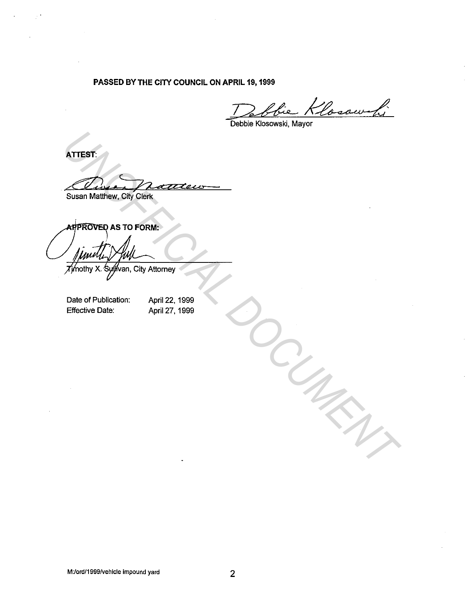## **PASSED BY THE CITY COUNCIL ON APRIL 19, 1999**

Debbie Klosowski, Mayor

**ATTEST:** 

Susan Matthew, City Clerk

ATTEST:<br>
Susan Matthew, OKy Chen<br> **AppROVED AS TO FORM:**<br>
<br> **UNOFFICIAL PUNICAL PROPERTY**<br>
Throltry X Sufficial City Attorney<br>
Date of Publication: April 27, 1999<br>
Effective Date: April 27, 1999

Date of Publication: Effective Date:

April 22, 1999 April 27, 1999

M:/ord/1999/vehicle impound yard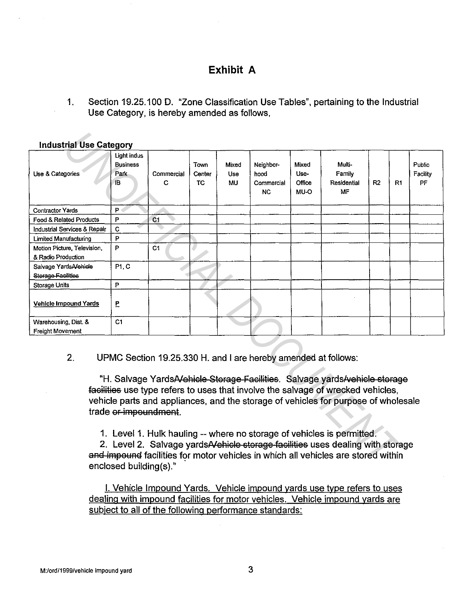# **Exhibit A**

1. Section 19.25.100 D. "Zone Classification Use Tables", pertaining to the Industrial Use Category, is hereby amended as follows,

| <b>Industrial Use Category</b>                    |                                              |                                                                |                      |                           |                                              |                                 |                                                                                                                                                                                                                                                                                                                                                                                                                      |    |    |                           |
|---------------------------------------------------|----------------------------------------------|----------------------------------------------------------------|----------------------|---------------------------|----------------------------------------------|---------------------------------|----------------------------------------------------------------------------------------------------------------------------------------------------------------------------------------------------------------------------------------------------------------------------------------------------------------------------------------------------------------------------------------------------------------------|----|----|---------------------------|
| Use & Categories                                  | Light indus<br><b>Business</b><br>Park<br>IB | Commercial<br>C                                                | Town<br>Center<br>TC | Mixed<br><b>Use</b><br>MU | Neighbor-<br>hood<br>Commercial<br><b>NC</b> | Mixed<br>Use-<br>Office<br>MU-O | Multi-<br>Family<br>Residential<br>MF                                                                                                                                                                                                                                                                                                                                                                                | R2 | R1 | Public<br>Facility<br>PF. |
| <b>Contractor Yards</b>                           | P                                            |                                                                |                      |                           |                                              |                                 |                                                                                                                                                                                                                                                                                                                                                                                                                      |    |    |                           |
| Food & Related Products                           | P                                            | C <sub>1</sub>                                                 |                      |                           |                                              |                                 |                                                                                                                                                                                                                                                                                                                                                                                                                      |    |    |                           |
| Industrial Services & Repair                      | C                                            |                                                                |                      |                           |                                              |                                 |                                                                                                                                                                                                                                                                                                                                                                                                                      |    |    |                           |
| Limited Manufacturing                             | P                                            |                                                                |                      |                           |                                              |                                 |                                                                                                                                                                                                                                                                                                                                                                                                                      |    |    |                           |
| Motion Picture, Television,<br>& Radio Production | P                                            | C1                                                             |                      |                           |                                              |                                 |                                                                                                                                                                                                                                                                                                                                                                                                                      |    |    |                           |
| Salvage YardsA/ehicle<br>Storage Facilities       | P1, C                                        |                                                                |                      |                           |                                              |                                 |                                                                                                                                                                                                                                                                                                                                                                                                                      |    |    |                           |
| <b>Storage Units</b>                              | P                                            |                                                                |                      |                           |                                              |                                 |                                                                                                                                                                                                                                                                                                                                                                                                                      |    |    |                           |
| Vehicle Impound Yards                             | E                                            |                                                                |                      |                           |                                              |                                 |                                                                                                                                                                                                                                                                                                                                                                                                                      |    |    |                           |
| Warehousing, Dist. &<br>Freight Movement          | C <sub>1</sub>                               |                                                                |                      |                           |                                              |                                 |                                                                                                                                                                                                                                                                                                                                                                                                                      |    |    |                           |
| 2.                                                | trade or-impoundment.                        | UPMC Section 19.25.330 H. and I are hereby amended at follows: |                      |                           |                                              |                                 | "H. Salvage YardsA ehicle Storage Facilities. Salvage yardsA vehicle storage<br>facilities use type refers to uses that involve the salvage of wrecked vehicles,<br>vehicle parts and appliances, and the storage of vehicles for purpose of wholesale<br>1. Level 1. Hulk hauling -- where no storage of vehicles is permitted.<br>2. Level 2. Salvage yards A which esternage facilities uses dealing with storage |    |    |                           |
|                                                   | enclosed building(s)."                       |                                                                |                      |                           |                                              |                                 | and impound facilities for motor vehicles in which all vehicles are stored within                                                                                                                                                                                                                                                                                                                                    |    |    |                           |

### Industrial Use Category

2. Level 2. Salvage yards A vehicle storage facilities uses dealing with storage and impound facilities for motor vehicles in which all vehicles are stored within enclosed building(s)."

I. Vehicle Impound Yards. Vehicle impound yards use type refers to uses dealing with impound facilities for motor vehicles. Vehicle impound yards are subject to all of the following performance standards: